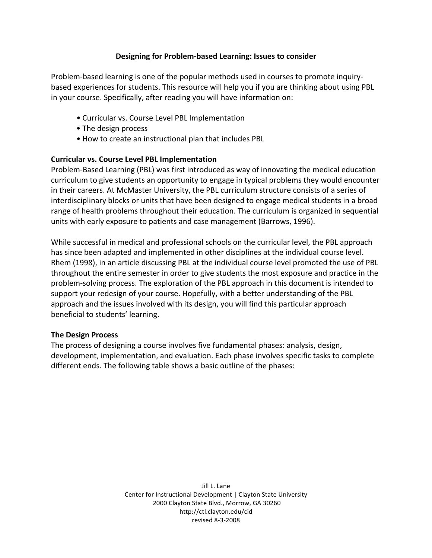## **Designing for Problem‐based Learning: Issues to consider**

Problem-based learning is one of the popular methods used in courses to promote inquirybased experiences for students. This resource will help you if you are thinking about using PBL in
your
course.
Specifically,
after
reading
you
will
have
information
on:

- Curricular vs. Course Level PBL Implementation
- The design process
- How to create an instructional plan that includes PBL

### **Curricular vs. Course Level PBL Implementation**

Problem-Based Learning (PBL) was first introduced as way of innovating the medical education curriculum
to
give
students
an
opportunity
to
engage
in
typical
problems
they
would
encounter in their careers. At McMaster University, the PBL curriculum structure consists of a series of interdisciplinary blocks or units that have been designed to engage medical students in a broad range of health problems throughout their education. The curriculum is organized in sequential units
with
early
exposure
to
patients
and
case
management
(Barrows,
1996).

While successful in medical and professional schools on the curricular level, the PBL approach has since been adapted and implemented in other disciplines at the individual course level. Rhem (1998), in an article discussing PBL at the individual course level promoted the use of PBL throughout the entire semester in order to give students the most exposure and practice in the problem-solving process. The exploration of the PBL approach in this document is intended to support your redesign of your course. Hopefully, with a better understanding of the PBL approach and the issues involved with its design, you will find this particular approach beneficial
to
students'
learning.

### **The Design Process**

The
process
of
designing
a
course
involves
five
fundamental
phases:
analysis,
design, development, implementation, and evaluation. Each phase involves specific tasks to complete different
ends.
The
following
table
shows
a
basic
outline
of
the
phases:

> Jill
> L.
> Lane Center
> for
> Instructional
> Development
> |
> Clayton
> State
> University 2000
> Clayton
> State
> Blvd.,
> Morrow,
> GA
> 30260 http://ctl.clayton.edu/cid revised
> 8‐3‐2008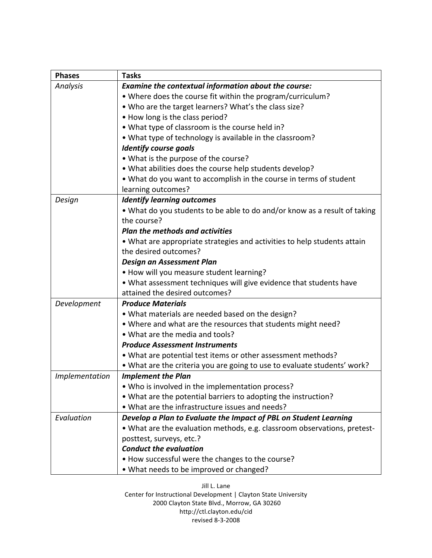| <b>Phases</b>  | <b>Tasks</b>                                                                                                                                   |  |  |  |
|----------------|------------------------------------------------------------------------------------------------------------------------------------------------|--|--|--|
| Analysis       | Examine the contextual information about the course:                                                                                           |  |  |  |
|                | • Where does the course fit within the program/curriculum?                                                                                     |  |  |  |
|                | . Who are the target learners? What's the class size?                                                                                          |  |  |  |
|                | • How long is the class period?<br>. What type of classroom is the course held in?<br>• What type of technology is available in the classroom? |  |  |  |
|                |                                                                                                                                                |  |  |  |
|                |                                                                                                                                                |  |  |  |
|                | <b>Identify course goals</b>                                                                                                                   |  |  |  |
|                | • What is the purpose of the course?                                                                                                           |  |  |  |
|                | . What abilities does the course help students develop?                                                                                        |  |  |  |
|                | • What do you want to accomplish in the course in terms of student                                                                             |  |  |  |
|                | learning outcomes?                                                                                                                             |  |  |  |
| Design         | <b>Identify learning outcomes</b>                                                                                                              |  |  |  |
|                | • What do you students to be able to do and/or know as a result of taking                                                                      |  |  |  |
|                | the course?                                                                                                                                    |  |  |  |
|                | <b>Plan the methods and activities</b>                                                                                                         |  |  |  |
|                | . What are appropriate strategies and activities to help students attain                                                                       |  |  |  |
|                | the desired outcomes?                                                                                                                          |  |  |  |
|                | Design an Assessment Plan                                                                                                                      |  |  |  |
|                | • How will you measure student learning?                                                                                                       |  |  |  |
|                | • What assessment techniques will give evidence that students have                                                                             |  |  |  |
|                | attained the desired outcomes?                                                                                                                 |  |  |  |
| Development    | <b>Produce Materials</b>                                                                                                                       |  |  |  |
|                | . What materials are needed based on the design?                                                                                               |  |  |  |
|                | . Where and what are the resources that students might need?                                                                                   |  |  |  |
|                | • What are the media and tools?                                                                                                                |  |  |  |
|                | <b>Produce Assessment Instruments</b>                                                                                                          |  |  |  |
|                | . What are potential test items or other assessment methods?                                                                                   |  |  |  |
|                | • What are the criteria you are going to use to evaluate students' work?                                                                       |  |  |  |
| Implementation | <b>Implement the Plan</b>                                                                                                                      |  |  |  |
|                | . Who is involved in the implementation process?                                                                                               |  |  |  |
|                | • What are the potential barriers to adopting the instruction?                                                                                 |  |  |  |
|                | • What are the infrastructure issues and needs?                                                                                                |  |  |  |
| Evaluation     | Develop a Plan to Evaluate the Impact of PBL on Student Learning                                                                               |  |  |  |
|                | • What are the evaluation methods, e.g. classroom observations, pretest-                                                                       |  |  |  |
|                | posttest, surveys, etc.?                                                                                                                       |  |  |  |
|                | <b>Conduct the evaluation</b>                                                                                                                  |  |  |  |
|                | . How successful were the changes to the course?                                                                                               |  |  |  |
|                | . What needs to be improved or changed?                                                                                                        |  |  |  |

Jill
L.
Lane Center
for
Instructional
Development
|
Clayton
State
University 2000
Clayton
State
Blvd.,
Morrow,
GA
30260 http://ctl.clayton.edu/cid revised
8‐3‐2008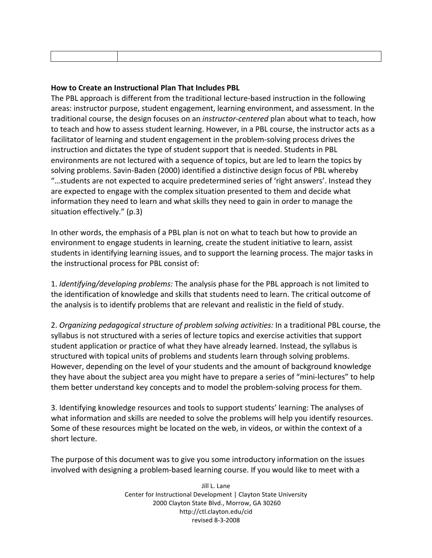# **How to Create an Instructional Plan That Includes PBL**

The PBL approach is different from the traditional lecture-based instruction in the following areas:
instructor
purpose,
student
engagement,
learning
environment,
and
assessment.
In
the traditional
course,
the
design
focuses
on
an *instructor‐centered* plan
about
what
to
teach,
how to teach and how to assess student learning. However, in a PBL course, the instructor acts as a facilitator of learning and student engagement in the problem-solving process drives the instruction
and
dictates
the
type
of
student
support
that
is
needed.
Students
in
PBL environments are not lectured with a sequence of topics, but are led to learn the topics by solving problems. Savin-Baden (2000) identified a distinctive design focus of PBL whereby "...students are not expected to acquire predetermined series of 'right answers'. Instead they are
expected
to
engage
with
the
complex
situation
presented
to
them
and
decide
what information they need to learn and what skills they need to gain in order to manage the situation
effectively."
(p.3)

In other words, the emphasis of a PBL plan is not on what to teach but how to provide an environment to engage students in learning, create the student initiative to learn, assist students in identifying learning issues, and to support the learning process. The major tasks in the
instructional
process
for
PBL
consist
of:

1. *Identifying/developing problems:* The analysis phase for the PBL approach is not limited to the identification of knowledge and skills that students need to learn. The critical outcome of the analysis is to identify problems that are relevant and realistic in the field of study.

2. Organizing pedagogical structure of problem solving activities: In a traditional PBL course, the syllabus is not structured with a series of lecture topics and exercise activities that support student
application
or
practice
of
what
they
have
already
learned.
Instead,
the
syllabus
is structured with topical units of problems and students learn through solving problems. However, depending on the level of your students and the amount of background knowledge they have about the subject area you might have to prepare a series of "mini-lectures" to help them better understand key concepts and to model the problem-solving process for them.

3.
Identifying
knowledge
resources
and
tools
to
support
students'
learning:
The
analyses
of what information and skills are needed to solve the problems will help you identify resources. Some of these resources might be located on the web, in videos, or within the context of a short
lecture.

The
purpose
of
this
document
was
to
give
you
some
introductory
information
on
the
issues involved with designing a problem-based learning course. If you would like to meet with a

> Jill
> L.
> Lane Center
> for
> Instructional
> Development
> |
> Clayton
> State
> University 2000
> Clayton
> State
> Blvd.,
> Morrow,
> GA
> 30260 http://ctl.clayton.edu/cid revised
> 8‐3‐2008